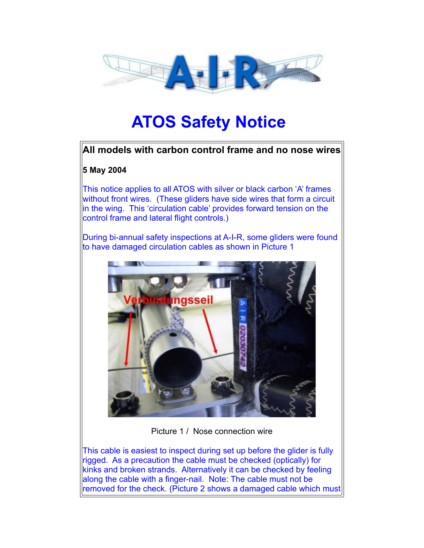

# **ATOS Safety Notice**

## **All models with carbon control frame and no nose wires**

## **5 May 2004**

This notice applies to all ATOS with silver or black carbon 'A' frames without front wires. (These gliders have side wires that form a circuit lin the wing. This 'circulation cable' provides forward tension on the control frame and lateral flight controls.)

During bi-annual safety inspections at A-I-R, some gliders were found to have damaged circulation cables as shown in Picture 1



Picture 1 / Nose connection wire

This cable is easiest to inspect during set up before the glider is fully rigged. As a precaution the cable must be checked (optically) for kinks and broken strands. Alternatively it can be checked by feeling along the cable with a finger-nail. Note: The cable must not be  $\parallel$ removed for the check. (Picture 2 shows a damaged cable which must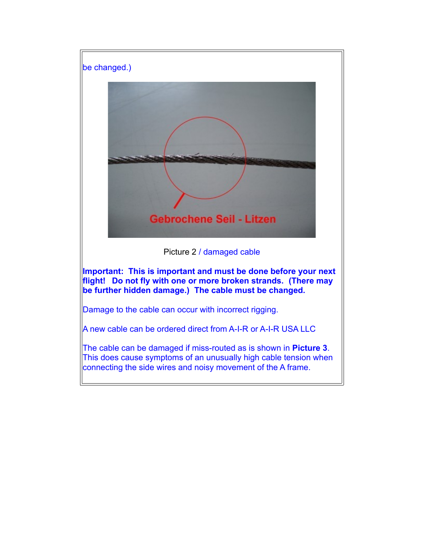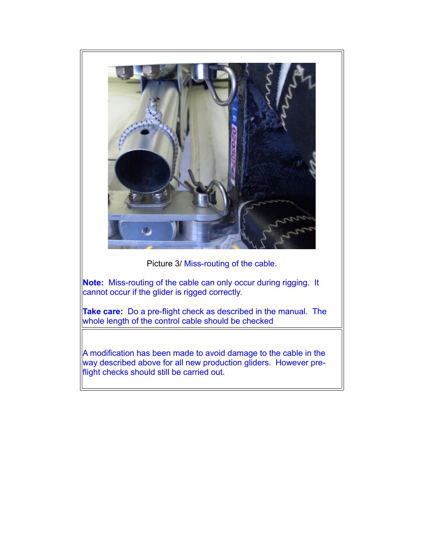

Picture 3/ Miss-routing of the cable.

**Note:** Miss-routing of the cable can only occur during rigging. It cannot occur if the glider is rigged correctly.

**Take care:** Do a pre-flight check as described in the manual. The whole length of the control cable should be checked

A modification has been made to avoid damage to the cable in the way described above for all new production gliders. However preflight checks should still be carried out.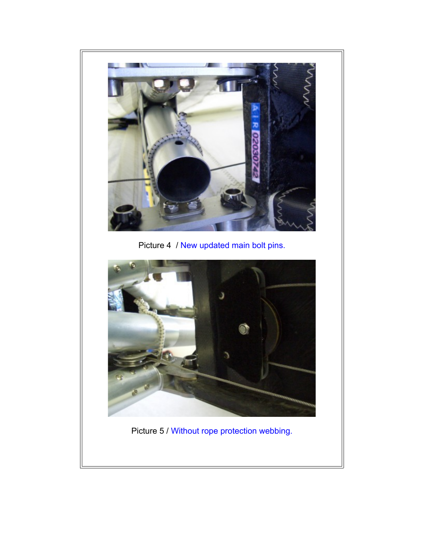

Picture 4 / New updated main bolt pins.



Picture 5 / Without rope protection webbing.